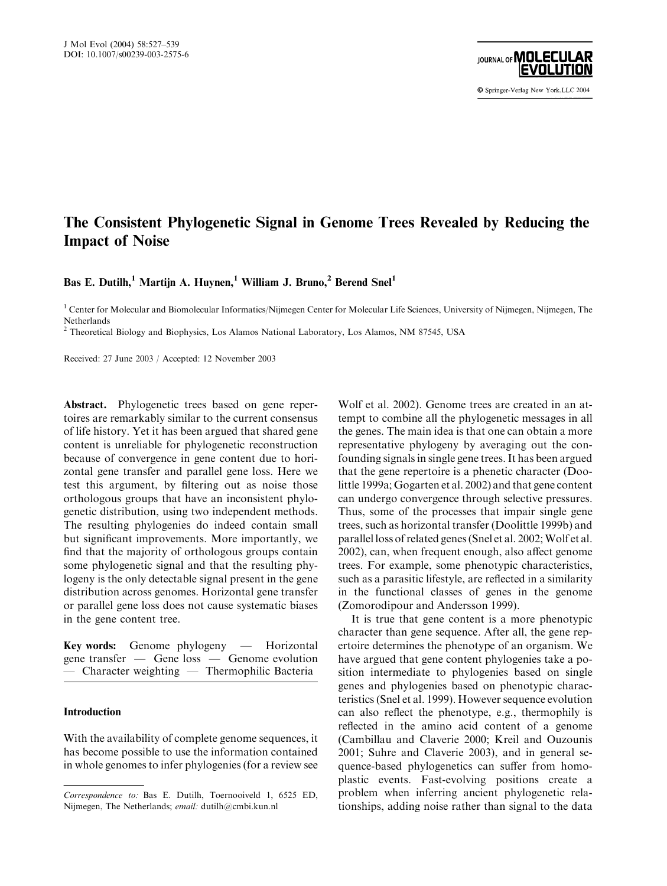

# The Consistent Phylogenetic Signal in Genome Trees Revealed by Reducing the Impact of Noise

Bas E. Dutilh,<sup>1</sup> Martijn A. Huynen,<sup>1</sup> William J. Bruno,<sup>2</sup> Berend Snel<sup>1</sup>

<sup>1</sup> Center for Molecular and Biomolecular Informatics/Nijmegen Center for Molecular Life Sciences, University of Nijmegen, Nijmegen, The Netherlands

<sup>2</sup> Theoretical Biology and Biophysics, Los Alamos National Laboratory, Los Alamos, NM 87545, USA

Received: 27 June 2003 / Accepted: 12 November 2003

Abstract. Phylogenetic trees based on gene repertoires are remarkably similar to the current consensus of life history. Yet it has been argued that shared gene content is unreliable for phylogenetic reconstruction because of convergence in gene content due to horizontal gene transfer and parallel gene loss. Here we test this argument, by filtering out as noise those orthologous groups that have an inconsistent phylogenetic distribution, using two independent methods. The resulting phylogenies do indeed contain small but significant improvements. More importantly, we find that the majority of orthologous groups contain some phylogenetic signal and that the resulting phylogeny is the only detectable signal present in the gene distribution across genomes. Horizontal gene transfer or parallel gene loss does not cause systematic biases in the gene content tree.

Key words: Genome phylogeny — Horizontal gene transfer — Gene loss — Genome evolution — Character weighting — Thermophilic Bacteria

## Introduction

With the availability of complete genome sequences, it has become possible to use the information contained in whole genomes to infer phylogenies (for a review see

Wolf et al. 2002). Genome trees are created in an attempt to combine all the phylogenetic messages in all the genes. The main idea is that one can obtain a more representative phylogeny by averaging out the confounding signals in single gene trees. It has been argued that the gene repertoire is a phenetic character (Doolittle 1999a; Gogarten et al. 2002) and that gene content can undergo convergence through selective pressures. Thus, some of the processes that impair single gene trees, such as horizontal transfer (Doolittle 1999b) and parallel loss of related genes (Snel et al. 2002; Wolf et al. 2002), can, when frequent enough, also affect genome trees. For example, some phenotypic characteristics, such as a parasitic lifestyle, are reflected in a similarity in the functional classes of genes in the genome (Zomorodipour and Andersson 1999).

It is true that gene content is a more phenotypic character than gene sequence. After all, the gene repertoire determines the phenotype of an organism. We have argued that gene content phylogenies take a position intermediate to phylogenies based on single genes and phylogenies based on phenotypic characteristics (Snel et al. 1999). However sequence evolution can also reflect the phenotype, e.g., thermophily is reflected in the amino acid content of a genome (Cambillau and Claverie 2000; Kreil and Ouzounis 2001; Suhre and Claverie 2003), and in general sequence-based phylogenetics can suffer from homoplastic events. Fast-evolving positions create a problem when inferring ancient phylogenetic relationships, adding noise rather than signal to the data

Correspondence to: Bas E. Dutilh, Toernooiveld 1, 6525 ED, Nijmegen, The Netherlands; email: dutilh@cmbi.kun.nl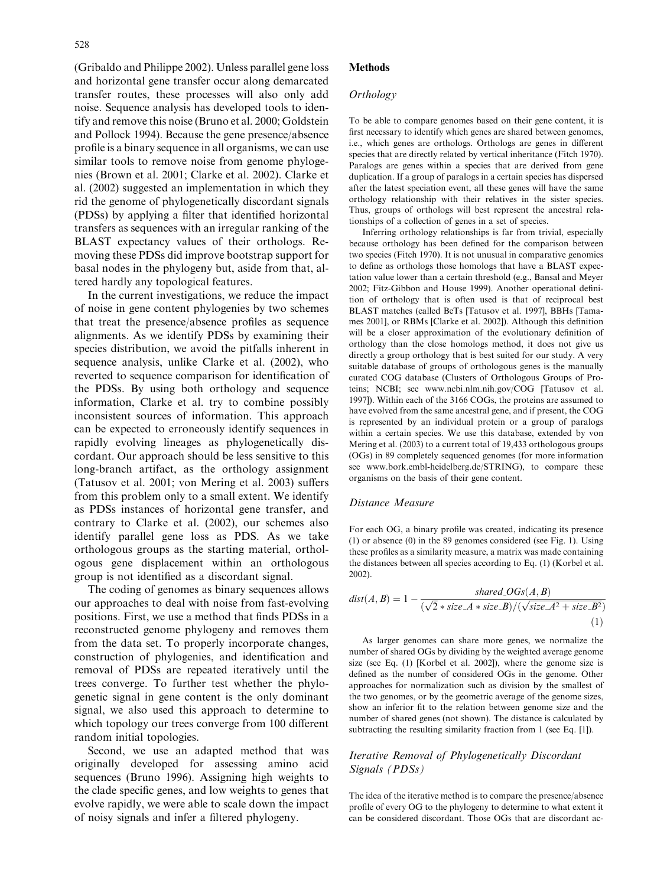(Gribaldo and Philippe 2002). Unless parallel gene loss and horizontal gene transfer occur along demarcated transfer routes, these processes will also only add noise. Sequence analysis has developed tools to identify and remove this noise (Bruno et al. 2000; Goldstein and Pollock 1994). Because the gene presence/absence profile is a binary sequence in all organisms, we can use similar tools to remove noise from genome phylogenies (Brown et al. 2001; Clarke et al. 2002). Clarke et al. (2002) suggested an implementation in which they rid the genome of phylogenetically discordant signals (PDSs) by applying a filter that identified horizontal transfers as sequences with an irregular ranking of the BLAST expectancy values of their orthologs. Removing these PDSs did improve bootstrap support for basal nodes in the phylogeny but, aside from that, altered hardly any topological features.

In the current investigations, we reduce the impact of noise in gene content phylogenies by two schemes that treat the presence/absence profiles as sequence alignments. As we identify PDSs by examining their species distribution, we avoid the pitfalls inherent in sequence analysis, unlike Clarke et al. (2002), who reverted to sequence comparison for identification of the PDSs. By using both orthology and sequence information, Clarke et al. try to combine possibly inconsistent sources of information. This approach can be expected to erroneously identify sequences in rapidly evolving lineages as phylogenetically discordant. Our approach should be less sensitive to this long-branch artifact, as the orthology assignment (Tatusov et al. 2001; von Mering et al. 2003) suffers from this problem only to a small extent. We identify as PDSs instances of horizontal gene transfer, and contrary to Clarke et al. (2002), our schemes also identify parallel gene loss as PDS. As we take orthologous groups as the starting material, orthologous gene displacement within an orthologous group is not identified as a discordant signal.

The coding of genomes as binary sequences allows our approaches to deal with noise from fast-evolving positions. First, we use a method that finds PDSs in a reconstructed genome phylogeny and removes them from the data set. To properly incorporate changes, construction of phylogenies, and identification and removal of PDSs are repeated iteratively until the trees converge. To further test whether the phylogenetic signal in gene content is the only dominant signal, we also used this approach to determine to which topology our trees converge from 100 different random initial topologies.

Second, we use an adapted method that was originally developed for assessing amino acid sequences (Bruno 1996). Assigning high weights to the clade specific genes, and low weights to genes that evolve rapidly, we were able to scale down the impact of noisy signals and infer a filtered phylogeny.

# Methods

#### **Orthology**

To be able to compare genomes based on their gene content, it is first necessary to identify which genes are shared between genomes, i.e., which genes are orthologs. Orthologs are genes in different species that are directly related by vertical inheritance (Fitch 1970). Paralogs are genes within a species that are derived from gene duplication. If a group of paralogs in a certain species has dispersed after the latest speciation event, all these genes will have the same orthology relationship with their relatives in the sister species. Thus, groups of orthologs will best represent the ancestral relationships of a collection of genes in a set of species.

Inferring orthology relationships is far from trivial, especially because orthology has been defined for the comparison between two species (Fitch 1970). It is not unusual in comparative genomics to define as orthologs those homologs that have a BLAST expectation value lower than a certain threshold (e.g., Bansal and Meyer 2002; Fitz-Gibbon and House 1999). Another operational definition of orthology that is often used is that of reciprocal best BLAST matches (called BeTs [Tatusov et al. 1997], BBHs [Tamames 2001], or RBMs [Clarke et al. 2002]). Although this definition will be a closer approximation of the evolutionary definition of orthology than the close homologs method, it does not give us directly a group orthology that is best suited for our study. A very suitable database of groups of orthologous genes is the manually curated COG database (Clusters of Orthologous Groups of Proteins; NCBI; see www.ncbi.nlm.nih.gov/COG [Tatusov et al. 1997]). Within each of the 3166 COGs, the proteins are assumed to have evolved from the same ancestral gene, and if present, the COG is represented by an individual protein or a group of paralogs within a certain species. We use this database, extended by von Mering et al. (2003) to a current total of 19,433 orthologous groups (OGs) in 89 completely sequenced genomes (for more information see www.bork.embl-heidelberg.de/STRING), to compare these organisms on the basis of their gene content.

# Distance Measure

For each OG, a binary profile was created, indicating its presence (1) or absence (0) in the 89 genomes considered (see Fig. 1). Using these profiles as a similarity measure, a matrix was made containing the distances between all species according to Eq. (1) (Korbel et al. 2002).

$$
dist(A, B) = 1 - \frac{shared\text{-}OGs(A, B)}{(\sqrt{2} * size\text{-}A * size\text{-}B)/(\sqrt{size\text{-}A^2 + size\text{-}B^2})}
$$
\n(1)

As larger genomes can share more genes, we normalize the number of shared OGs by dividing by the weighted average genome size (see Eq. (1) [Korbel et al. 2002]), where the genome size is defined as the number of considered OGs in the genome. Other approaches for normalization such as division by the smallest of the two genomes, or by the geometric average of the genome sizes, show an inferior fit to the relation between genome size and the number of shared genes (not shown). The distance is calculated by subtracting the resulting similarity fraction from 1 (see Eq. [1]).

# Iterative Removal of Phylogenetically Discordant Signals (PDSs)

The idea of the iterative method is to compare the presence/absence profile of every OG to the phylogeny to determine to what extent it can be considered discordant. Those OGs that are discordant ac-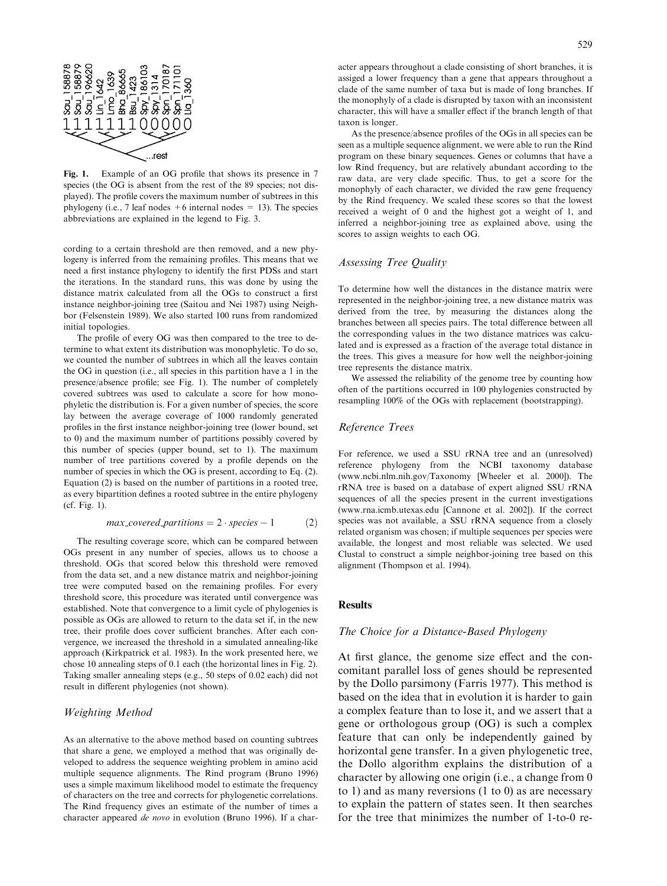

Fig. 1. Example of an OG profile that shows its presence in 7 species (the OG is absent from the rest of the 89 species; not displayed). The profile covers the maximum number of subtrees in this phylogeny (i.e., 7 leaf nodes  $+6$  internal nodes  $= 13$ ). The species abbreviations are explained in the legend to Fig. 3.

cording to a certain threshold are then removed, and a new phylogeny is inferred from the remaining profiles. This means that we need a first instance phylogeny to identify the first PDSs and start the iterations. In the standard runs, this was done by using the distance matrix calculated from all the OGs to construct a first instance neighbor-joining tree (Saitou and Nei 1987) using Neighbor (Felsenstein 1989). We also started 100 runs from randomized initial topologies.

The profile of every OG was then compared to the tree to determine to what extent its distribution was monophyletic. To do so, we counted the number of subtrees in which all the leaves contain the OG in question (i.e., all species in this partition have a 1 in the presence/absence profile; see Fig. 1). The number of completely covered subtrees was used to calculate a score for how monophyletic the distribution is. For a given number of species, the score lay between the average coverage of 1000 randomly generated profiles in the first instance neighbor-joining tree (lower bound, set to 0) and the maximum number of partitions possibly covered by this number of species (upper bound, set to 1). The maximum number of tree partitions covered by a profile depends on the number of species in which the OG is present, according to Eq. (2). Equation (2) is based on the number of partitions in a rooted tree, as every bipartition defines a rooted subtree in the entire phylogeny (cf. Fig. 1).

$$
max\_covered\_partitions = 2 \cdot species - 1 \tag{2}
$$

The resulting coverage score, which can be compared between OGs present in any number of species, allows us to choose a threshold. OGs that scored below this threshold were removed from the data set, and a new distance matrix and neighbor-joining tree were computed based on the remaining profiles. For every threshold score, this procedure was iterated until convergence was established. Note that convergence to a limit cycle of phylogenies is possible as OGs are allowed to return to the data set if, in the new tree, their profile does cover sufficient branches. After each convergence, we increased the threshold in a simulated annealing-like approach (Kirkpatrick et al. 1983). In the work presented here, we chose 10 annealing steps of 0.1 each (the horizontal lines in Fig. 2). Taking smaller annealing steps (e.g., 50 steps of 0.02 each) did not result in different phylogenies (not shown).

# Weighting Method

As an alternative to the above method based on counting subtrees that share a gene, we employed a method that was originally developed to address the sequence weighting problem in amino acid multiple sequence alignments. The Rind program (Bruno 1996) uses a simple maximum likelihood model to estimate the frequency of characters on the tree and corrects for phylogenetic correlations. The Rind frequency gives an estimate of the number of times a character appeared de novo in evolution (Bruno 1996). If a character appears throughout a clade consisting of short branches, it is assiged a lower frequency than a gene that appears throughout a clade of the same number of taxa but is made of long branches. If the monophyly of a clade is disrupted by taxon with an inconsistent character, this will have a smaller effect if the branch length of that taxon is longer.

As the presence/absence profiles of the OGs in all species can be seen as a multiple sequence alignment, we were able to run the Rind program on these binary sequences. Genes or columns that have a low Rind frequency, but are relatively abundant according to the raw data, are very clade specific. Thus, to get a score for the monophyly of each character, we divided the raw gene frequency by the Rind frequency. We scaled these scores so that the lowest received a weight of 0 and the highest got a weight of 1, and inferred a neighbor-joining tree as explained above, using the scores to assign weights to each OG.

#### Assessing Tree Quality

To determine how well the distances in the distance matrix were represented in the neighbor-joining tree, a new distance matrix was derived from the tree, by measuring the distances along the branches between all species pairs. The total difference between all the corresponding values in the two distance matrices was calculated and is expressed as a fraction of the average total distance in the trees. This gives a measure for how well the neighbor-joining tree represents the distance matrix.

We assessed the reliability of the genome tree by counting how often of the partitions occurred in 100 phylogenies constructed by resampling 100% of the OGs with replacement (bootstrapping).

#### Reference Trees

For reference, we used a SSU rRNA tree and an (unresolved) reference phylogeny from the NCBI taxonomy database (www.ncbi.nlm.nih.gov/Taxonomy [Wheeler et al. 2000]). The rRNA tree is based on a database of expert aligned SSU rRNA sequences of all the species present in the current investigations (www.rna.icmb.utexas.edu [Cannone et al. 2002]). If the correct species was not available, a SSU rRNA sequence from a closely related organism was chosen; if multiple sequences per species were available, the longest and most reliable was selected. We used Clustal to construct a simple neighbor-joining tree based on this alignment (Thompson et al. 1994).

#### **Results**

#### The Choice for a Distance-Based Phylogeny

At first glance, the genome size effect and the concomitant parallel loss of genes should be represented by the Dollo parsimony (Farris 1977). This method is based on the idea that in evolution it is harder to gain a complex feature than to lose it, and we assert that a gene or orthologous group (OG) is such a complex feature that can only be independently gained by horizontal gene transfer. In a given phylogenetic tree, the Dollo algorithm explains the distribution of a character by allowing one origin (i.e., a change from 0 to 1) and as many reversions (1 to 0) as are necessary to explain the pattern of states seen. It then searches for the tree that minimizes the number of 1-to-0 re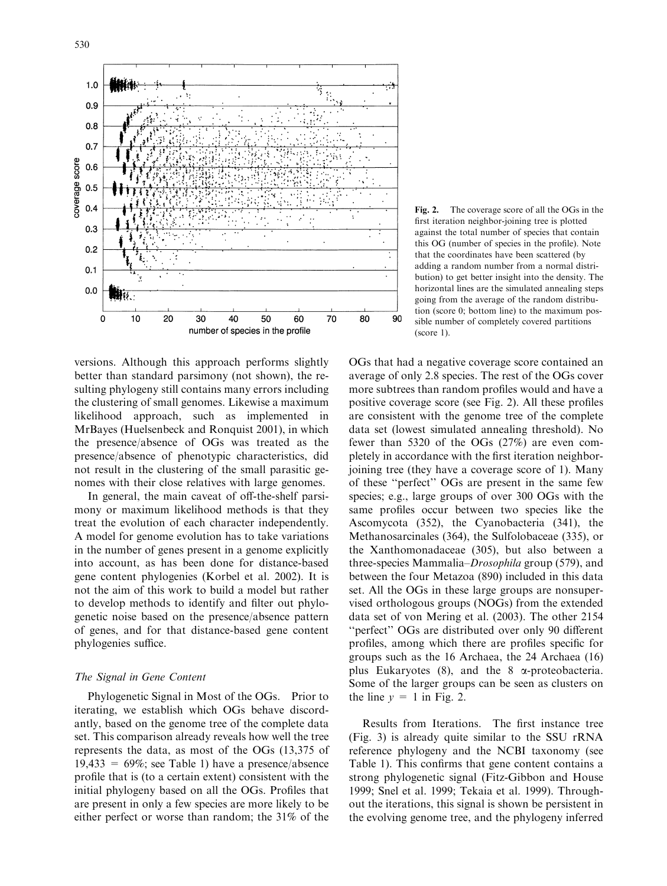versions. Although this approach performs slightly better than standard parsimony (not shown), the resulting phylogeny still contains many errors including the clustering of small genomes. Likewise a maximum likelihood approach, such as implemented in MrBayes (Huelsenbeck and Ronquist 2001), in which the presence/absence of OGs was treated as the presence/absence of phenotypic characteristics, did not result in the clustering of the small parasitic genomes with their close relatives with large genomes.

In general, the main caveat of off-the-shelf parsimony or maximum likelihood methods is that they treat the evolution of each character independently. A model for genome evolution has to take variations in the number of genes present in a genome explicitly into account, as has been done for distance-based gene content phylogenies (Korbel et al. 2002). It is not the aim of this work to build a model but rather to develop methods to identify and filter out phylogenetic noise based on the presence/absence pattern of genes, and for that distance-based gene content phylogenies suffice.

# The Signal in Gene Content

Phylogenetic Signal in Most of the OGs. Prior to iterating, we establish which OGs behave discordantly, based on the genome tree of the complete data set. This comparison already reveals how well the tree represents the data, as most of the OGs (13,375 of  $19,433 = 69\%$ ; see Table 1) have a presence/absence profile that is (to a certain extent) consistent with the initial phylogeny based on all the OGs. Profiles that are present in only a few species are more likely to be either perfect or worse than random; the 31% of the

Fig. 2. The coverage score of all the OGs in the first iteration neighbor-joining tree is plotted against the total number of species that contain this OG (number of species in the profile). Note that the coordinates have been scattered (by adding a random number from a normal distribution) to get better insight into the density. The horizontal lines are the simulated annealing steps going from the average of the random distribution (score 0; bottom line) to the maximum possible number of completely covered partitions  $(score 1)$ .

OGs that had a negative coverage score contained an average of only 2.8 species. The rest of the OGs cover more subtrees than random profiles would and have a positive coverage score (see Fig. 2). All these profiles are consistent with the genome tree of the complete data set (lowest simulated annealing threshold). No fewer than 5320 of the OGs (27%) are even completely in accordance with the first iteration neighborjoining tree (they have a coverage score of 1). Many of these ''perfect'' OGs are present in the same few species; e.g., large groups of over 300 OGs with the same profiles occur between two species like the Ascomycota (352), the Cyanobacteria (341), the Methanosarcinales (364), the Sulfolobaceae (335), or the Xanthomonadaceae (305), but also between a three-species Mammalia–Drosophila group (579), and between the four Metazoa (890) included in this data set. All the OGs in these large groups are nonsupervised orthologous groups (NOGs) from the extended data set of von Mering et al. (2003). The other 2154 ''perfect'' OGs are distributed over only 90 different profiles, among which there are profiles specific for groups such as the 16 Archaea, the 24 Archaea (16) plus Eukaryotes  $(8)$ , and the 8  $\alpha$ -proteobacteria. Some of the larger groups can be seen as clusters on the line  $y = 1$  in Fig. 2.

Results from Iterations. The first instance tree (Fig. 3) is already quite similar to the SSU rRNA reference phylogeny and the NCBI taxonomy (see Table 1). This confirms that gene content contains a strong phylogenetic signal (Fitz-Gibbon and House 1999; Snel et al. 1999; Tekaia et al. 1999). Throughout the iterations, this signal is shown be persistent in the evolving genome tree, and the phylogeny inferred



 $\ddot{\cdot}$ 

 $1.0$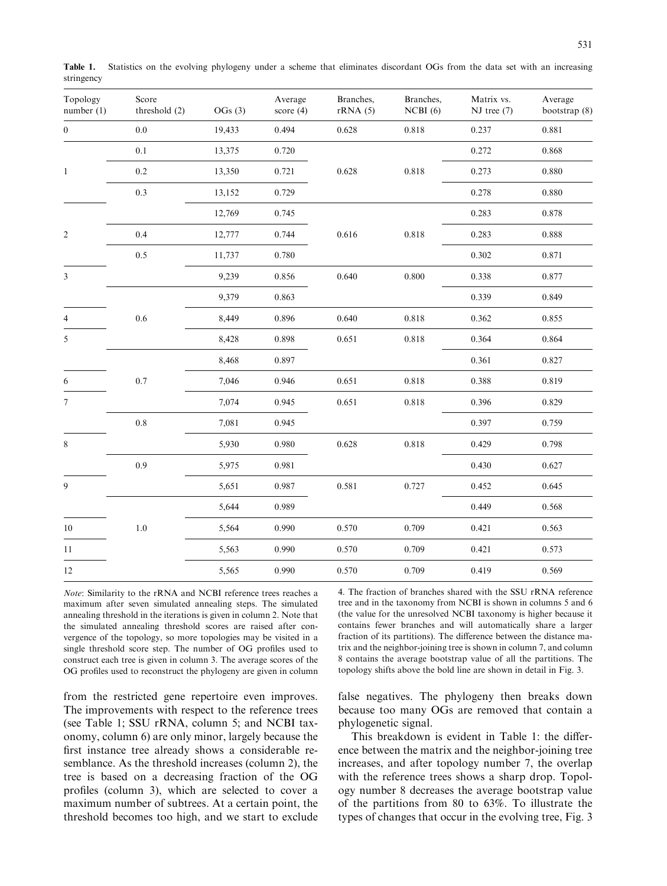| Topology<br>number $(1)$ | Score<br>threshold (2) | OGs(3) | Average<br>score $(4)$ | Branches,<br>rRNA(5) | Branches,<br>NCBI(6) | Matrix vs.<br>$NJ$ tree $(7)$ | Average<br>bootstrap (8) |
|--------------------------|------------------------|--------|------------------------|----------------------|----------------------|-------------------------------|--------------------------|
| $\boldsymbol{0}$         | $0.0\,$                | 19,433 | 0.494                  | 0.628                | 0.818                | 0.237                         | 0.881                    |
|                          | 0.1                    | 13,375 | 0.720                  |                      |                      | 0.272                         | 0.868                    |
| $\mathbf{1}$             | 0.2                    | 13,350 | 0.721                  | 0.628                | 0.818                | 0.273                         | 0.880                    |
|                          | 0.3                    | 13,152 | 0.729                  |                      |                      | 0.278                         | 0.880                    |
|                          |                        | 12,769 | 0.745                  |                      |                      | 0.283                         | 0.878                    |
| $\overline{c}$           | 0.4                    | 12,777 | 0.744                  | 0.616                | 0.818                | 0.283                         | 0.888                    |
|                          | 0.5                    | 11,737 | 0.780                  |                      |                      | 0.302                         | 0.871                    |
| 3                        |                        | 9,239  | 0.856                  | 0.640                | 0.800                | 0.338                         | 0.877                    |
|                          |                        | 9,379  | 0.863                  |                      |                      | 0.339                         | 0.849                    |
| 4                        | 0.6                    | 8.449  | 0.896                  | 0.640                | 0.818                | 0.362                         | 0.855                    |
| 5                        |                        | 8,428  | 0.898                  | 0.651                | 0.818                | 0.364                         | 0.864                    |
|                          |                        | 8,468  | 0.897                  |                      |                      | 0.361                         | 0.827                    |
| 6                        | 0.7                    | 7,046  | 0.946                  | 0.651                | 0.818                | 0.388                         | 0.819                    |
| 7                        |                        | 7,074  | 0.945                  | 0.651                | 0.818                | 0.396                         | 0.829                    |
|                          | $0.8\,$                | 7,081  | 0.945                  |                      |                      | 0.397                         | 0.759                    |
| 8                        |                        | 5,930  | 0.980                  | 0.628                | 0.818                | 0.429                         | 0.798                    |
|                          | $0.9\,$                | 5,975  | 0.981                  |                      |                      | 0.430                         | 0.627                    |
| 9                        |                        | 5,651  | 0.987                  | 0.581                | 0.727                | 0.452                         | 0.645                    |
|                          |                        | 5,644  | 0.989                  |                      |                      | 0.449                         | 0.568                    |
| 10                       | $1.0\,$                | 5,564  | 0.990                  | 0.570                | 0.709                | 0.421                         | 0.563                    |
| 11                       |                        | 5,563  | 0.990                  | 0.570                | 0.709                | 0.421                         | 0.573                    |
| 12                       |                        | 5,565  | 0.990                  | 0.570                | 0.709                | 0.419                         | 0.569                    |
|                          |                        |        |                        |                      |                      |                               |                          |

Table 1. Statistics on the evolving phylogeny under a scheme that eliminates discordant OGs from the data set with an increasing stringency

Note: Similarity to the rRNA and NCBI reference trees reaches a maximum after seven simulated annealing steps. The simulated annealing threshold in the iterations is given in column 2. Note that the simulated annealing threshold scores are raised after convergence of the topology, so more topologies may be visited in a single threshold score step. The number of OG profiles used to construct each tree is given in column 3. The average scores of the OG profiles used to reconstruct the phylogeny are given in column

from the restricted gene repertoire even improves. The improvements with respect to the reference trees (see Table 1; SSU rRNA, column 5; and NCBI taxonomy, column 6) are only minor, largely because the first instance tree already shows a considerable resemblance. As the threshold increases (column 2), the tree is based on a decreasing fraction of the OG profiles (column 3), which are selected to cover a maximum number of subtrees. At a certain point, the threshold becomes too high, and we start to exclude 4. The fraction of branches shared with the SSU rRNA reference tree and in the taxonomy from NCBI is shown in columns 5 and 6 (the value for the unresolved NCBI taxonomy is higher because it contains fewer branches and will automatically share a larger fraction of its partitions). The difference between the distance matrix and the neighbor-joining tree is shown in column 7, and column 8 contains the average bootstrap value of all the partitions. The topology shifts above the bold line are shown in detail in Fig. 3.

false negatives. The phylogeny then breaks down because too many OGs are removed that contain a phylogenetic signal.

This breakdown is evident in Table 1: the difference between the matrix and the neighbor-joining tree increases, and after topology number 7, the overlap with the reference trees shows a sharp drop. Topology number 8 decreases the average bootstrap value of the partitions from 80 to 63%. To illustrate the types of changes that occur in the evolving tree, Fig. 3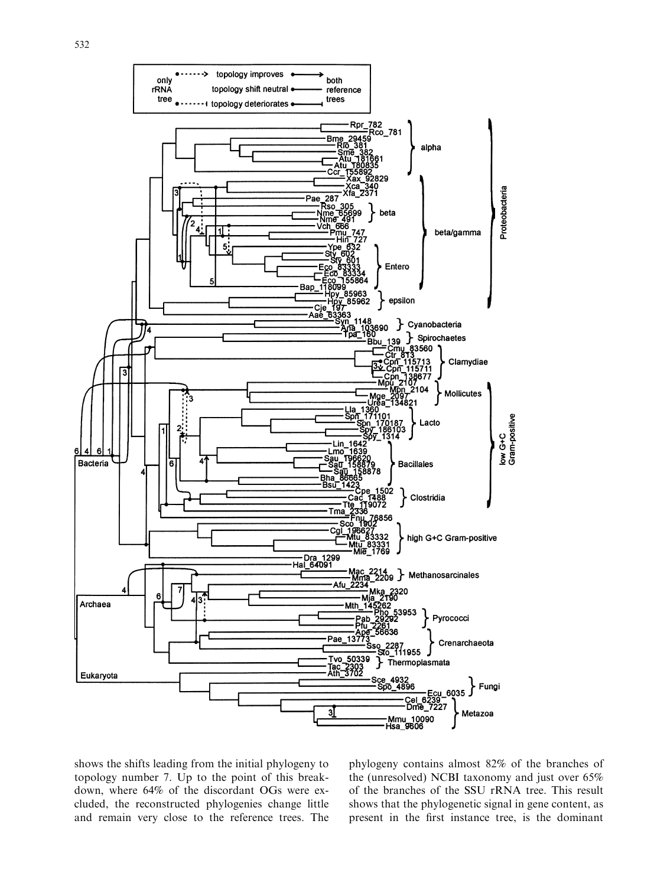

shows the shifts leading from the initial phylogeny to topology number 7. Up to the point of this breakdown, where 64% of the discordant OGs were excluded, the reconstructed phylogenies change little and remain very close to the reference trees. The phylogeny contains almost 82% of the branches of the (unresolved) NCBI taxonomy and just over 65% of the branches of the SSU rRNA tree. This result shows that the phylogenetic signal in gene content, as present in the first instance tree, is the dominant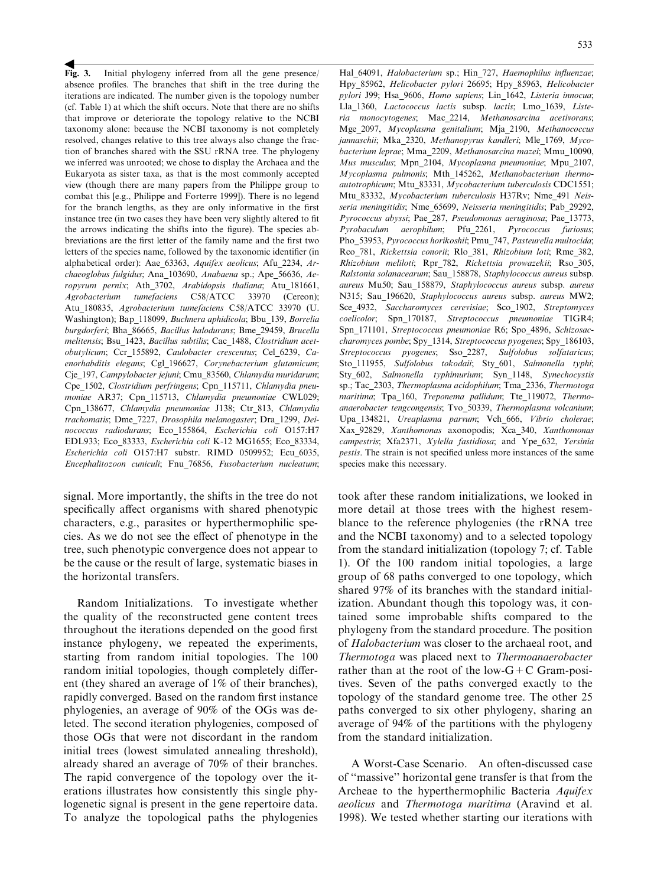Fig. 3. Initial phylogeny inferred from all the gene presence/ absence profiles. The branches that shift in the tree during the iterations are indicated. The number given is the topology number (cf. Table 1) at which the shift occurs. Note that there are no shifts that improve or deteriorate the topology relative to the NCBI taxonomy alone: because the NCBI taxonomy is not completely resolved, changes relative to this tree always also change the fraction of branches shared with the SSU rRNA tree. The phylogeny we inferred was unrooted; we chose to display the Archaea and the Eukaryota as sister taxa, as that is the most commonly accepted view (though there are many papers from the Philippe group to combat this [e.g., Philippe and Forterre 1999]). There is no legend for the branch lengths, as they are only informative in the first instance tree (in two cases they have been very slightly altered to fit the arrows indicating the shifts into the figure). The species abbreviations are the first letter of the family name and the first two letters of the species name, followed by the taxonomic identifier (in alphabetical order): Aae\_63363, Aquifex aeolicus; Afu\_2234, Archaeoglobus fulgidus; Ana\_103690, Anabaena sp.; Ape\_56636, Aeropyrum pernix; Ath\_3702, Arabidopsis thaliana; Atu\_181661, Agrobacterium tumefaciens C58/ATCC 33970 (Cereon); Atu\_180835, Agrobacterium tumefaciens C58/ATCC 33970 (U. Washington); Bap\_118099, Buchnera aphidicola; Bbu\_139, Borrelia burgdorferi; Bha\_86665, Bacillus halodurans; Bme\_29459, Brucella melitensis; Bsu\_1423, Bacillus subtilis; Cac\_1488, Clostridium acetobutylicum; Ccr\_155892, Caulobacter crescentus; Cel\_6239, Caenorhabditis elegans; Cgl\_196627, Corynebacterium glutamicum; Cje\_197, Campylobacter jejuni; Cmu\_83560, Chlamydia muridarum; Cpe\_1502, Clostridium perfringens; Cpn\_115711, Chlamydia pneumoniae AR37; Cpn\_115713, Chlamydia pneumoniae CWL029; Cpn\_138677, Chlamydia pneumoniae J138; Ctr\_813, Chlamydia trachomatis; Dme\_7227, Drosophila melanogaster; Dra\_1299, Deinococcus radiodurans; Eco\_155864, Escherichia coli O157:H7 EDL933; Eco\_83333, Escherichia coli K-12MG1655; Eco\_83334, Escherichia coli O157:H7 substr. RIMD 0509952; Ecu\_6035, Encephalitozoon cuniculi; Fnu\_76856, Fusobacterium nucleatum;  $\blacktriangleleft$ 

signal. More importantly, the shifts in the tree do not specifically affect organisms with shared phenotypic characters, e.g., parasites or hyperthermophilic species. As we do not see the effect of phenotype in the tree, such phenotypic convergence does not appear to be the cause or the result of large, systematic biases in the horizontal transfers.

Random Initializations. To investigate whether the quality of the reconstructed gene content trees throughout the iterations depended on the good first instance phylogeny, we repeated the experiments, starting from random initial topologies. The 100 random initial topologies, though completely different (they shared an average of 1% of their branches), rapidly converged. Based on the random first instance phylogenies, an average of 90% of the OGs was deleted. The second iteration phylogenies, composed of those OGs that were not discordant in the random initial trees (lowest simulated annealing threshold), already shared an average of 70% of their branches. The rapid convergence of the topology over the iterations illustrates how consistently this single phylogenetic signal is present in the gene repertoire data. To analyze the topological paths the phylogenies

Hal 64091, Halobacterium sp.; Hin 727, Haemophilus influenzae; Hpy\_85962, Helicobacter pylori 26695; Hpy\_85963, Helicobacter pylori J99; Hsa\_9606, Homo sapiens; Lin\_1642, Listeria innocua; Lla 1360, Lactococcus lactis subsp. lactis; Lmo 1639, Listeria monocytogenes; Mac\_2214, Methanosarcina acetivorans; Mge\_2097, Mycoplasma genitalium; Mja\_2190, Methanococcus jannaschii; Mka 2320, Methanopyrus kandleri; Mle 1769, Mycobacterium leprae; Mma\_2209, Methanosarcina mazei; Mmu\_10090, Mus musculus; Mpn\_2104, Mycoplasma pneumoniae; Mpu\_2107, Mycoplasma pulmonis; Mth\_145262, Methanobacterium thermoautotrophicum; Mtu\_83331, Mycobacterium tuberculosis CDC1551; Mtu 83332, Mycobacterium tuberculosis H37Rv; Nme 491 Neisseria meningitidis; Nme 65699, Neisseria meningitidis; Pab 29292, Pyrococcus abyssi; Pae\_287, Pseudomonas aeruginosa; Pae\_13773, Pyrobaculum aerophilum; Pfu\_2261, Pyrococcus furiosus; Pho 53953, Pyrococcus horikoshii; Pmu 747, Pasteurella multocida; Rco\_781, Rickettsia conorii; Rlo\_381, Rhizobium loti; Rme\_382, Rhizobium meliloti; Rpr\_782, Rickettsia prowazekii; Rso\_305, Ralstonia solanacearum; Sau\_158878, Staphylococcus aureus subsp. aureus Mu50; Sau\_158879, Staphylococcus aureus subsp. aureus N315; Sau\_196620, Staphylococcus aureus subsp. aureus MW2; Sce 4932, Saccharomyces cerevisiae; Sco 1902, Streptomyces coelicolor; Spn\_170187, Streptococcus pneumoniae TIGR4; Spn\_171101, Streptococcus pneumoniae R6; Spo\_4896, Schizosaccharomyces pombe; Spy\_1314, Streptococcus pyogenes; Spy\_186103, Streptococcus pyogenes; Sso 2287, Sulfolobus solfataricus; Sto 111955, Sulfolobus tokodaii; Sty 601, Salmonella typhi; Sty 602, Salmonella typhimurium; Syn 1148, Synechocystis sp.; Tac\_2303, Thermoplasma acidophilum; Tma\_2336, Thermotoga maritima; Tpa\_160, Treponema pallidum; Tte\_119072, Thermoanaerobacter tengcongensis; Tvo\_50339, Thermoplasma volcanium; Upa 134821, Ureaplasma parvum; Vch 666, Vibrio cholerae; Xax\_92829, Xanthomonas axonopodis; Xca\_340, Xanthomonas campestris; Xfa2371, Xylella fastidiosa; and Ype\_632, Yersinia pestis. The strain is not specified unless more instances of the same species make this necessary.

took after these random initializations, we looked in more detail at those trees with the highest resemblance to the reference phylogenies (the rRNA tree and the NCBI taxonomy) and to a selected topology from the standard initialization (topology 7; cf. Table 1). Of the 100 random initial topologies, a large group of 68 paths converged to one topology, which shared 97% of its branches with the standard initialization. Abundant though this topology was, it contained some improbable shifts compared to the phylogeny from the standard procedure. The position of Halobacterium was closer to the archaeal root, and Thermotoga was placed next to Thermoanaerobacter rather than at the root of the low- $G+C$  Gram-positives. Seven of the paths converged exactly to the topology of the standard genome tree. The other 25 paths converged to six other phylogeny, sharing an average of 94% of the partitions with the phylogeny from the standard initialization.

A Worst-Case Scenario. An often-discussed case of ''massive'' horizontal gene transfer is that from the Archeae to the hyperthermophilic Bacteria Aquifex aeolicus and Thermotoga maritima (Aravind et al. 1998). We tested whether starting our iterations with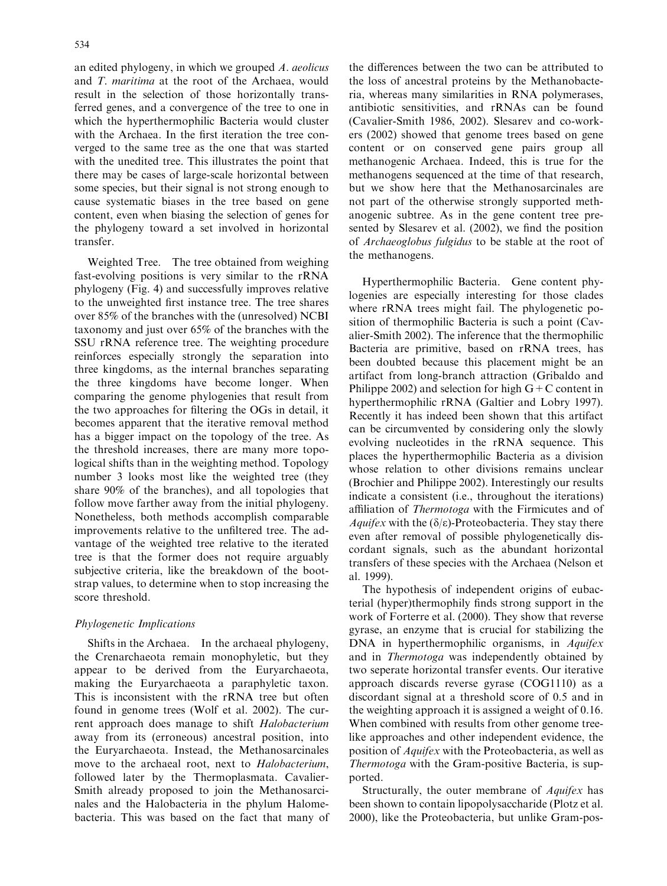an edited phylogeny, in which we grouped A. aeolicus and T. maritima at the root of the Archaea, would result in the selection of those horizontally transferred genes, and a convergence of the tree to one in which the hyperthermophilic Bacteria would cluster with the Archaea. In the first iteration the tree converged to the same tree as the one that was started with the unedited tree. This illustrates the point that there may be cases of large-scale horizontal between some species, but their signal is not strong enough to cause systematic biases in the tree based on gene content, even when biasing the selection of genes for the phylogeny toward a set involved in horizontal transfer.

Weighted Tree. The tree obtained from weighing fast-evolving positions is very similar to the rRNA phylogeny (Fig. 4) and successfully improves relative to the unweighted first instance tree. The tree shares over 85% of the branches with the (unresolved) NCBI taxonomy and just over 65% of the branches with the SSU rRNA reference tree. The weighting procedure reinforces especially strongly the separation into three kingdoms, as the internal branches separating the three kingdoms have become longer. When comparing the genome phylogenies that result from the two approaches for filtering the OGs in detail, it becomes apparent that the iterative removal method has a bigger impact on the topology of the tree. As the threshold increases, there are many more topological shifts than in the weighting method. Topology number 3 looks most like the weighted tree (they share 90% of the branches), and all topologies that follow move farther away from the initial phylogeny. Nonetheless, both methods accomplish comparable improvements relative to the unfiltered tree. The advantage of the weighted tree relative to the iterated tree is that the former does not require arguably subjective criteria, like the breakdown of the bootstrap values, to determine when to stop increasing the score threshold.

# Phylogenetic Implications

Shifts in the Archaea. In the archaeal phylogeny, the Crenarchaeota remain monophyletic, but they appear to be derived from the Euryarchaeota, making the Euryarchaeota a paraphyletic taxon. This is inconsistent with the rRNA tree but often found in genome trees (Wolf et al. 2002). The current approach does manage to shift Halobacterium away from its (erroneous) ancestral position, into the Euryarchaeota. Instead, the Methanosarcinales move to the archaeal root, next to Halobacterium, followed later by the Thermoplasmata. Cavalier-Smith already proposed to join the Methanosarcinales and the Halobacteria in the phylum Halomebacteria. This was based on the fact that many of

the differences between the two can be attributed to the loss of ancestral proteins by the Methanobacteria, whereas many similarities in RNA polymerases, antibiotic sensitivities, and rRNAs can be found (Cavalier-Smith 1986, 2002). Slesarev and co-workers (2002) showed that genome trees based on gene content or on conserved gene pairs group all methanogenic Archaea. Indeed, this is true for the methanogens sequenced at the time of that research, but we show here that the Methanosarcinales are not part of the otherwise strongly supported methanogenic subtree. As in the gene content tree presented by Slesarev et al. (2002), we find the position of Archaeoglobus fulgidus to be stable at the root of the methanogens.

Hyperthermophilic Bacteria. Gene content phylogenies are especially interesting for those clades where rRNA trees might fail. The phylogenetic position of thermophilic Bacteria is such a point (Cavalier-Smith 2002). The inference that the thermophilic Bacteria are primitive, based on rRNA trees, has been doubted because this placement might be an artifact from long-branch attraction (Gribaldo and Philippe 2002) and selection for high  $G+C$  content in hyperthermophilic rRNA (Galtier and Lobry 1997). Recently it has indeed been shown that this artifact can be circumvented by considering only the slowly evolving nucleotides in the rRNA sequence. This places the hyperthermophilic Bacteria as a division whose relation to other divisions remains unclear (Brochier and Philippe 2002). Interestingly our results indicate a consistent (i.e., throughout the iterations) affiliation of Thermotoga with the Firmicutes and of *Aquifex* with the  $(\delta/\varepsilon)$ -Proteobacteria. They stay there even after removal of possible phylogenetically discordant signals, such as the abundant horizontal transfers of these species with the Archaea (Nelson et al. 1999).

The hypothesis of independent origins of eubacterial (hyper)thermophily finds strong support in the work of Forterre et al. (2000). They show that reverse gyrase, an enzyme that is crucial for stabilizing the DNA in hyperthermophilic organisms, in *Aquifex* and in Thermotoga was independently obtained by two seperate horizontal transfer events. Our iterative approach discards reverse gyrase (COG1110) as a discordant signal at a threshold score of 0.5 and in the weighting approach it is assigned a weight of 0.16. When combined with results from other genome treelike approaches and other independent evidence, the position of Aquifex with the Proteobacteria, as well as Thermotoga with the Gram-positive Bacteria, is supported.

Structurally, the outer membrane of Aquifex has been shown to contain lipopolysaccharide (Plotz et al. 2000), like the Proteobacteria, but unlike Gram-pos-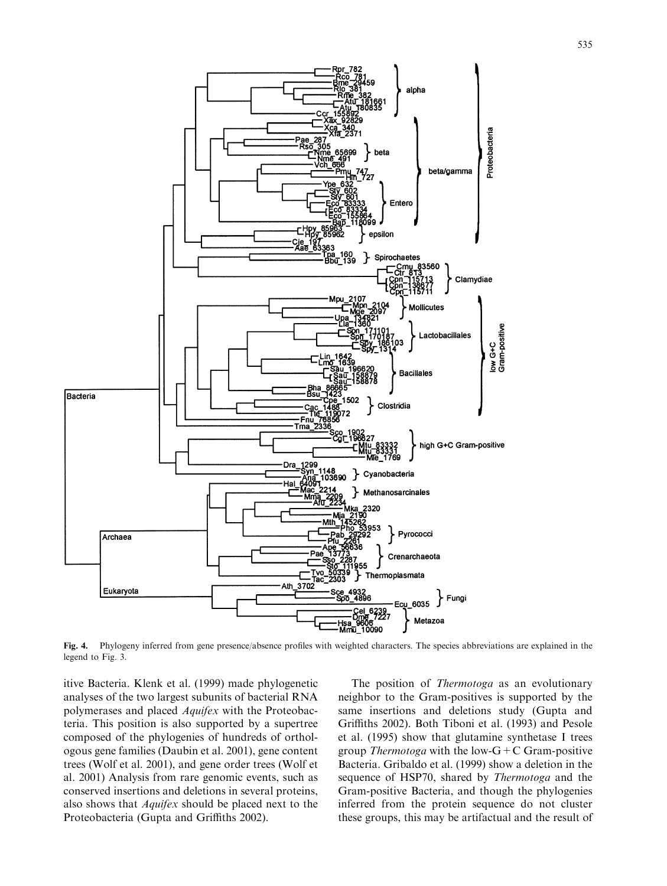

Fig. 4. Phylogeny inferred from gene presence/absence profiles with weighted characters. The species abbreviations are explained in the legend to Fig. 3.

itive Bacteria. Klenk et al. (1999) made phylogenetic analyses of the two largest subunits of bacterial RNA polymerases and placed *Aquifex* with the Proteobacteria. This position is also supported by a supertree composed of the phylogenies of hundreds of orthologous gene families (Daubin et al. 2001), gene content trees (Wolf et al. 2001), and gene order trees (Wolf et al. 2001) Analysis from rare genomic events, such as conserved insertions and deletions in several proteins, also shows that Aquifex should be placed next to the Proteobacteria (Gupta and Griffiths 2002).

The position of *Thermotoga* as an evolutionary neighbor to the Gram-positives is supported by the same insertions and deletions study (Gupta and Griffiths 2002). Both Tiboni et al. (1993) and Pesole et al. (1995) show that glutamine synthetase I trees group *Thermotoga* with the low- $G+C$  Gram-positive Bacteria. Gribaldo et al. (1999) show a deletion in the sequence of HSP70, shared by *Thermotoga* and the Gram-positive Bacteria, and though the phylogenies inferred from the protein sequence do not cluster these groups, this may be artifactual and the result of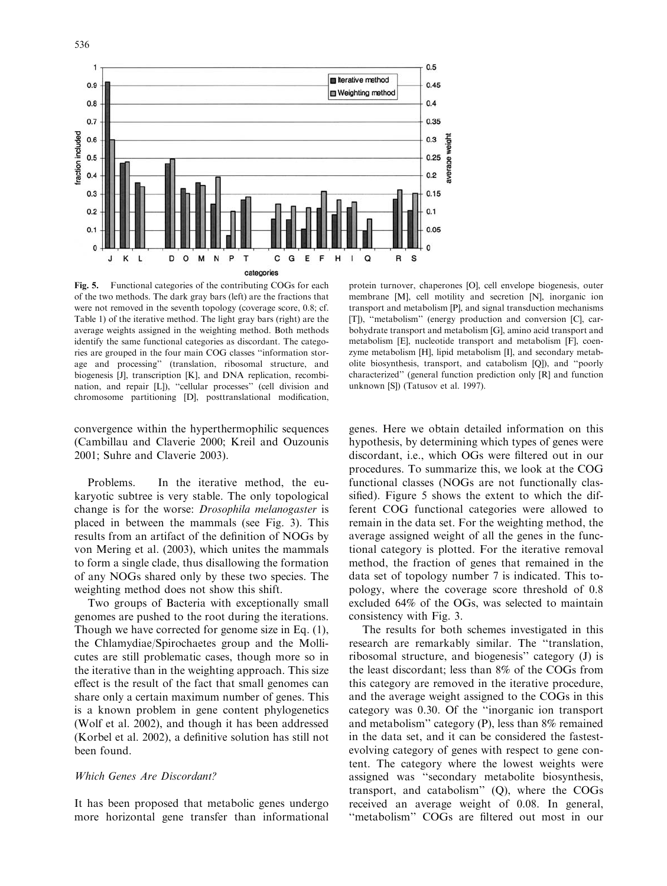

Fig. 5. Functional categories of the contributing COGs for each of the two methods. The dark gray bars (left) are the fractions that were not removed in the seventh topology (coverage score, 0.8; cf. Table 1) of the iterative method. The light gray bars (right) are the average weights assigned in the weighting method. Both methods identify the same functional categories as discordant. The categories are grouped in the four main COG classes ''information storage and processing'' (translation, ribosomal structure, and biogenesis [J], transcription [K], and DNA replication, recombination, and repair [L]), ''cellular processes'' (cell division and chromosome partitioning [D], posttranslational modification,

convergence within the hyperthermophilic sequences (Cambillau and Claverie 2000; Kreil and Ouzounis 2001; Suhre and Claverie 2003).

Problems. In the iterative method, the eukaryotic subtree is very stable. The only topological change is for the worse: Drosophila melanogaster is placed in between the mammals (see Fig. 3). This results from an artifact of the definition of NOGs by von Mering et al. (2003), which unites the mammals to form a single clade, thus disallowing the formation of any NOGs shared only by these two species. The weighting method does not show this shift.

Two groups of Bacteria with exceptionally small genomes are pushed to the root during the iterations. Though we have corrected for genome size in Eq. (1), the Chlamydiae/Spirochaetes group and the Mollicutes are still problematic cases, though more so in the iterative than in the weighting approach. This size effect is the result of the fact that small genomes can share only a certain maximum number of genes. This is a known problem in gene content phylogenetics (Wolf et al. 2002), and though it has been addressed (Korbel et al. 2002), a definitive solution has still not been found.

# Which Genes Are Discordant?

It has been proposed that metabolic genes undergo more horizontal gene transfer than informational

protein turnover, chaperones [O], cell envelope biogenesis, outer membrane [M], cell motility and secretion [N], inorganic ion transport and metabolism [P], and signal transduction mechanisms [T]), ''metabolism'' (energy production and conversion [C], carbohydrate transport and metabolism [G], amino acid transport and metabolism [E], nucleotide transport and metabolism [F], coenzyme metabolism [H], lipid metabolism [I], and secondary metabolite biosynthesis, transport, and catabolism [Q]), and ''poorly characterized'' (general function prediction only [R] and function unknown [S]) (Tatusov et al. 1997).

genes. Here we obtain detailed information on this hypothesis, by determining which types of genes were discordant, i.e., which OGs were filtered out in our procedures. To summarize this, we look at the COG functional classes (NOGs are not functionally classified). Figure 5 shows the extent to which the different COG functional categories were allowed to remain in the data set. For the weighting method, the average assigned weight of all the genes in the functional category is plotted. For the iterative removal method, the fraction of genes that remained in the data set of topology number 7 is indicated. This topology, where the coverage score threshold of 0.8 excluded 64% of the OGs, was selected to maintain consistency with Fig. 3.

The results for both schemes investigated in this research are remarkably similar. The ''translation, ribosomal structure, and biogenesis'' category (J) is the least discordant; less than 8% of the COGs from this category are removed in the iterative procedure, and the average weight assigned to the COGs in this category was 0.30. Of the ''inorganic ion transport and metabolism'' category (P), less than 8% remained in the data set, and it can be considered the fastestevolving category of genes with respect to gene content. The category where the lowest weights were assigned was ''secondary metabolite biosynthesis, transport, and catabolism'' (Q), where the COGs received an average weight of 0.08. In general, "metabolism" COGs are filtered out most in our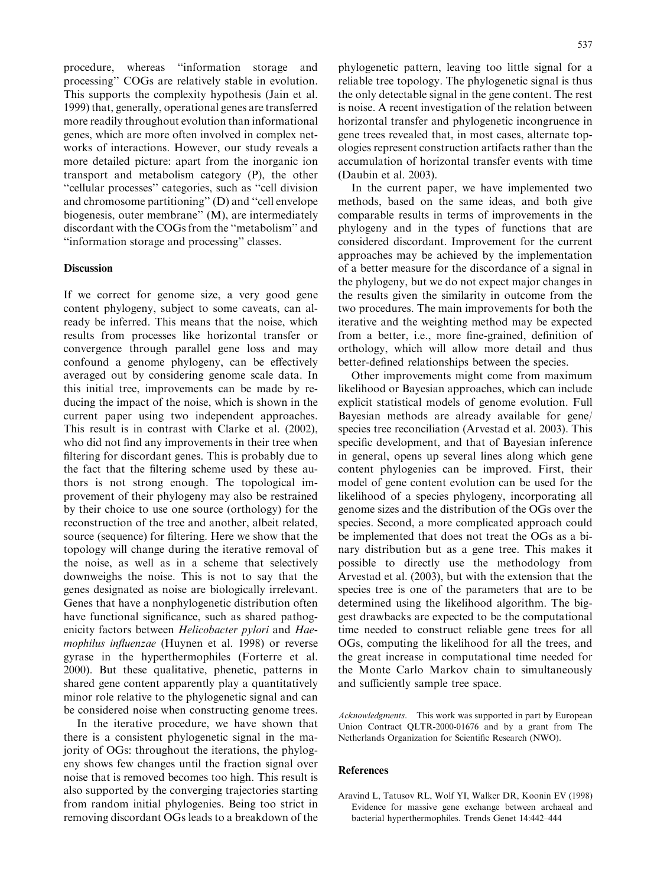procedure, whereas ''information storage and processing'' COGs are relatively stable in evolution. This supports the complexity hypothesis (Jain et al. 1999) that, generally, operational genes are transferred more readily throughout evolution than informational genes, which are more often involved in complex networks of interactions. However, our study reveals a more detailed picture: apart from the inorganic ion transport and metabolism category (P), the other ''cellular processes'' categories, such as ''cell division and chromosome partitioning'' (D) and ''cell envelope biogenesis, outer membrane'' (M), are intermediately discordant with the COGs from the ''metabolism'' and ''information storage and processing'' classes.

## **Discussion**

If we correct for genome size, a very good gene content phylogeny, subject to some caveats, can already be inferred. This means that the noise, which results from processes like horizontal transfer or convergence through parallel gene loss and may confound a genome phylogeny, can be effectively averaged out by considering genome scale data. In this initial tree, improvements can be made by reducing the impact of the noise, which is shown in the current paper using two independent approaches. This result is in contrast with Clarke et al. (2002), who did not find any improvements in their tree when filtering for discordant genes. This is probably due to the fact that the filtering scheme used by these authors is not strong enough. The topological improvement of their phylogeny may also be restrained by their choice to use one source (orthology) for the reconstruction of the tree and another, albeit related, source (sequence) for filtering. Here we show that the topology will change during the iterative removal of the noise, as well as in a scheme that selectively downweighs the noise. This is not to say that the genes designated as noise are biologically irrelevant. Genes that have a nonphylogenetic distribution often have functional significance, such as shared pathogenicity factors between Helicobacter pylori and Haemophilus influenzae (Huynen et al. 1998) or reverse gyrase in the hyperthermophiles (Forterre et al. 2000). But these qualitative, phenetic, patterns in shared gene content apparently play a quantitatively minor role relative to the phylogenetic signal and can be considered noise when constructing genome trees.

In the iterative procedure, we have shown that there is a consistent phylogenetic signal in the majority of OGs: throughout the iterations, the phylogeny shows few changes until the fraction signal over noise that is removed becomes too high. This result is also supported by the converging trajectories starting from random initial phylogenies. Being too strict in removing discordant OGs leads to a breakdown of the

In the current paper, we have implemented two methods, based on the same ideas, and both give comparable results in terms of improvements in the phylogeny and in the types of functions that are considered discordant. Improvement for the current approaches may be achieved by the implementation of a better measure for the discordance of a signal in the phylogeny, but we do not expect major changes in the results given the similarity in outcome from the two procedures. The main improvements for both the iterative and the weighting method may be expected from a better, i.e., more fine-grained, definition of orthology, which will allow more detail and thus better-defined relationships between the species.

Other improvements might come from maximum likelihood or Bayesian approaches, which can include explicit statistical models of genome evolution. Full Bayesian methods are already available for gene/ species tree reconciliation (Arvestad et al. 2003). This specific development, and that of Bayesian inference in general, opens up several lines along which gene content phylogenies can be improved. First, their model of gene content evolution can be used for the likelihood of a species phylogeny, incorporating all genome sizes and the distribution of the OGs over the species. Second, a more complicated approach could be implemented that does not treat the OGs as a binary distribution but as a gene tree. This makes it possible to directly use the methodology from Arvestad et al. (2003), but with the extension that the species tree is one of the parameters that are to be determined using the likelihood algorithm. The biggest drawbacks are expected to be the computational time needed to construct reliable gene trees for all OGs, computing the likelihood for all the trees, and the great increase in computational time needed for the Monte Carlo Markov chain to simultaneously and sufficiently sample tree space.

Acknowledgments. This work was supported in part by European Union Contract QLTR-2000-01676 and by a grant from The Netherlands Organization for Scientific Research (NWO).

# References

Aravind L, Tatusov RL, Wolf YI, Walker DR, Koonin EV (1998) Evidence for massive gene exchange between archaeal and bacterial hyperthermophiles. Trends Genet 14:442–444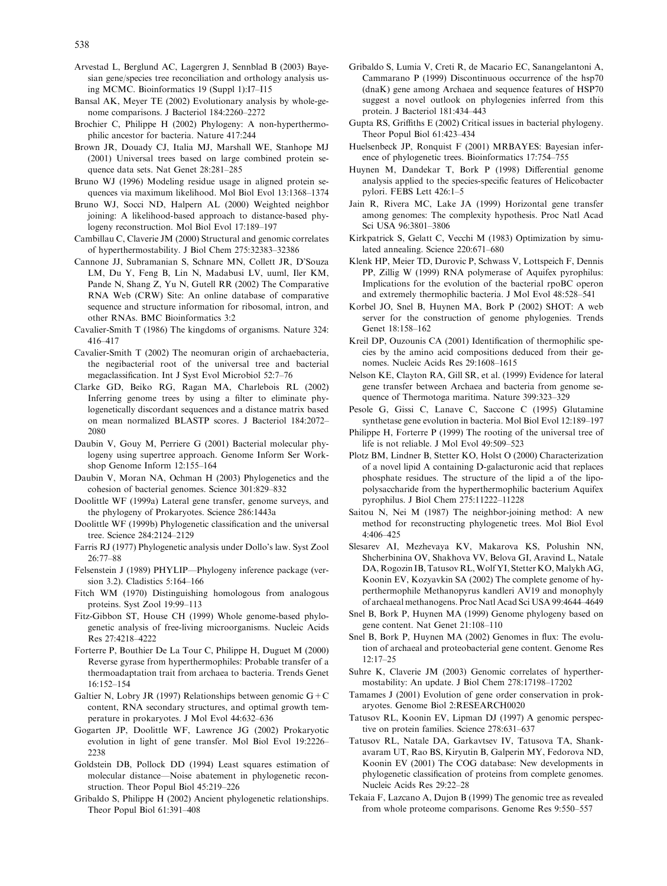- Arvestad L, Berglund AC, Lagergren J, Sennblad B (2003) Bayesian gene/species tree reconciliation and orthology analysis using MCMC. Bioinformatics 19 (Suppl 1):I7–I15
- Bansal AK, Meyer TE (2002) Evolutionary analysis by whole-genome comparisons. J Bacteriol 184:2260–2272
- Brochier C, Philippe H (2002) Phylogeny: A non-hyperthermophilic ancestor for bacteria. Nature 417:244
- Brown JR, Douady CJ, Italia MJ, Marshall WE, Stanhope MJ (2001) Universal trees based on large combined protein sequence data sets. Nat Genet 28:281–285
- Bruno WJ (1996) Modeling residue usage in aligned protein sequences via maximum likelihood. Mol Biol Evol 13:1368–1374
- Bruno WJ, Socci ND, Halpern AL (2000) Weighted neighbor joining: A likelihood-based approach to distance-based phylogeny reconstruction. Mol Biol Evol 17:189–197
- Cambillau C, Claverie JM (2000) Structural and genomic correlates of hyperthermostability. J Biol Chem 275:32383–32386
- Cannone JJ, Subramanian S, Schnare MN, Collett JR, D'Souza LM, Du Y, Feng B, Lin N, Madabusi LV, uuml, Iler KM, Pande N, Shang Z, Yu N, Gutell RR (2002) The Comparative RNA Web (CRW) Site: An online database of comparative sequence and structure information for ribosomal, intron, and other RNAs. BMC Bioinformatics 3:2
- Cavalier-Smith T (1986) The kingdoms of organisms. Nature 324: 416–417
- Cavalier-Smith T (2002) The neomuran origin of archaebacteria, the negibacterial root of the universal tree and bacterial megaclassification. Int J Syst Evol Microbiol 52:7–76
- Clarke GD, Beiko RG, Ragan MA, Charlebois RL (2002) Inferring genome trees by using a filter to eliminate phylogenetically discordant sequences and a distance matrix based on mean normalized BLASTP scores. J Bacteriol 184:2072– 2080
- Daubin V, Gouy M, Perriere G (2001) Bacterial molecular phylogeny using supertree approach. Genome Inform Ser Workshop Genome Inform 12:155–164
- Daubin V, Moran NA, Ochman H (2003) Phylogenetics and the cohesion of bacterial genomes. Science 301:829–832
- Doolittle WF (1999a) Lateral gene transfer, genome surveys, and the phylogeny of Prokaryotes. Science 286:1443a
- Doolittle WF (1999b) Phylogenetic classification and the universal tree. Science 284:2124–2129
- Farris RJ (1977) Phylogenetic analysis under Dollo's law. Syst Zool 26:77–88
- Felsenstein J (1989) PHYLIP—Phylogeny inference package (version 3.2). Cladistics 5:164–166
- Fitch WM (1970) Distinguishing homologous from analogous proteins. Syst Zool 19:99–113
- Fitz-Gibbon ST, House CH (1999) Whole genome-based phylogenetic analysis of free-living microorganisms. Nucleic Acids Res 27:4218–4222
- Forterre P, Bouthier De La Tour C, Philippe H, Duguet M (2000) Reverse gyrase from hyperthermophiles: Probable transfer of a thermoadaptation trait from archaea to bacteria. Trends Genet 16:152–154
- Galtier N, Lobry JR (1997) Relationships between genomic  $G+C$ content, RNA secondary structures, and optimal growth temperature in prokaryotes. J Mol Evol 44:632–636
- Gogarten JP, Doolittle WF, Lawrence JG (2002) Prokaryotic evolution in light of gene transfer. Mol Biol Evol 19:2226– 2238
- Goldstein DB, Pollock DD (1994) Least squares estimation of molecular distance—Noise abatement in phylogenetic reconstruction. Theor Popul Biol 45:219–226
- Gribaldo S, Philippe H (2002) Ancient phylogenetic relationships. Theor Popul Biol 61:391–408
- Gribaldo S, Lumia V, Creti R, de Macario EC, Sanangelantoni A, Cammarano P (1999) Discontinuous occurrence of the hsp70 (dnaK) gene among Archaea and sequence features of HSP70 suggest a novel outlook on phylogenies inferred from this protein. J Bacteriol 181:434–443
- Gupta RS, Griffiths E (2002) Critical issues in bacterial phylogeny. Theor Popul Biol 61:423–434
- Huelsenbeck JP, Ronquist F (2001) MRBAYES: Bayesian inference of phylogenetic trees. Bioinformatics 17:754–755
- Huynen M, Dandekar T, Bork P (1998) Differential genome analysis applied to the species-specific features of Helicobacter pylori. FEBS Lett 426:1–5
- Jain R, Rivera MC, Lake JA (1999) Horizontal gene transfer among genomes: The complexity hypothesis. Proc Natl Acad Sci USA 96:3801–3806
- Kirkpatrick S, Gelatt C, Vecchi M (1983) Optimization by simulated annealing. Science 220:671–680
- Klenk HP, Meier TD, Durovic P, Schwass V, Lottspeich F, Dennis PP, Zillig W (1999) RNA polymerase of Aquifex pyrophilus: Implications for the evolution of the bacterial rpoBC operon and extremely thermophilic bacteria. J Mol Evol 48:528–541
- Korbel JO, Snel B, Huynen MA, Bork P (2002) SHOT: A web server for the construction of genome phylogenies. Trends Genet 18:158–162
- Kreil DP, Ouzounis CA (2001) Identification of thermophilic species by the amino acid compositions deduced from their genomes. Nucleic Acids Res 29:1608–1615
- Nelson KE, Clayton RA, Gill SR, et al. (1999) Evidence for lateral gene transfer between Archaea and bacteria from genome sequence of Thermotoga maritima. Nature 399:323–329
- Pesole G, Gissi C, Lanave C, Saccone C (1995) Glutamine synthetase gene evolution in bacteria. Mol Biol Evol 12:189–197
- Philippe H, Forterre P (1999) The rooting of the universal tree of life is not reliable. J Mol Evol 49:509–523
- Plotz BM, Lindner B, Stetter KO, Holst O (2000) Characterization of a novel lipid A containing D-galacturonic acid that replaces phosphate residues. The structure of the lipid a of the lipopolysaccharide from the hyperthermophilic bacterium Aquifex pyrophilus. J Biol Chem 275:11222–11228
- Saitou N, Nei M (1987) The neighbor-joining method: A new method for reconstructing phylogenetic trees. Mol Biol Evol 4:406–425
- Slesarev AI, Mezhevaya KV, Makarova KS, Polushin NN, Shcherbinina OV, Shakhova VV, Belova GI, Aravind L, Natale DA, Rogozin IB, Tatusov RL, Wolf YI, Stetter KO, Malykh AG, Koonin EV, Kozyavkin SA (2002) The complete genome of hyperthermophile Methanopyrus kandleri AV19 and monophyly of archaeal methanogens. Proc Natl Acad Sci USA 99:4644–4649
- Snel B, Bork P, Huynen MA (1999) Genome phylogeny based on gene content. Nat Genet 21:108–110
- Snel B, Bork P, Huynen MA (2002) Genomes in flux: The evolution of archaeal and proteobacterial gene content. Genome Res 12:17–25
- Suhre K, Claverie JM (2003) Genomic correlates of hyperthermostability: An update. J Biol Chem 278:17198–17202
- Tamames J (2001) Evolution of gene order conservation in prokaryotes. Genome Biol 2:RESEARCH0020
- Tatusov RL, Koonin EV, Lipman DJ (1997) A genomic perspective on protein families. Science 278:631–637
- Tatusov RL, Natale DA, Garkavtsev IV, Tatusova TA, Shankavaram UT, Rao BS, Kiryutin B, Galperin MY, Fedorova ND, Koonin EV (2001) The COG database: New developments in phylogenetic classification of proteins from complete genomes. Nucleic Acids Res 29:22–28
- Tekaia F, Lazcano A, Dujon B (1999) The genomic tree as revealed from whole proteome comparisons. Genome Res 9:550–557